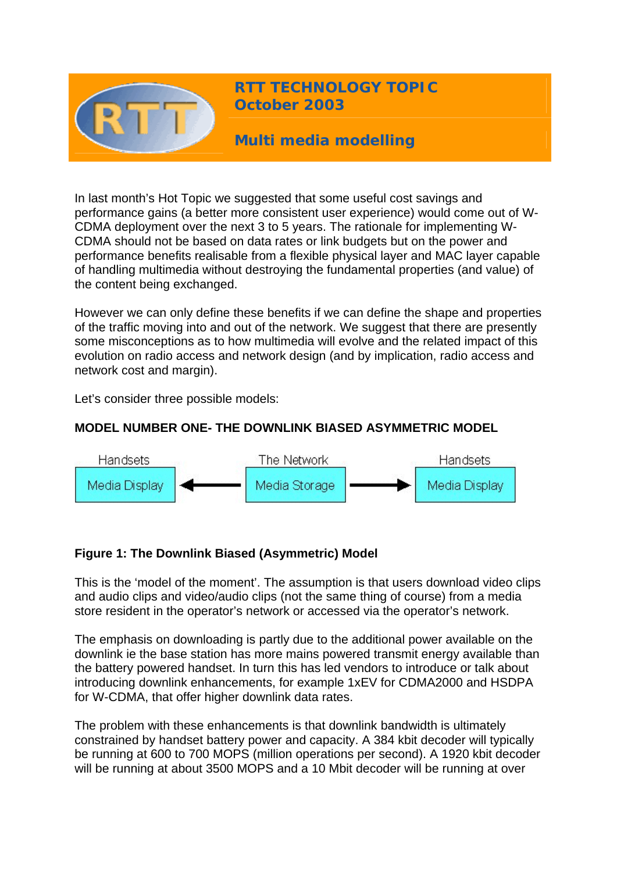

**RTT TECHNOLOGY TOPIC October 2003**

**Multi media modelling** 

In last month's Hot Topic we suggested that some useful cost savings and performance gains (a better more consistent user experience) would come out of W-CDMA deployment over the next 3 to 5 years. The rationale for implementing W-CDMA should not be based on data rates or link budgets but on the power and performance benefits realisable from a flexible physical layer and MAC layer capable of handling multimedia without destroying the fundamental properties (and value) of the content being exchanged.

However we can only define these benefits if we can define the shape and properties of the traffic moving into and out of the network. We suggest that there are presently some misconceptions as to how multimedia will evolve and the related impact of this evolution on radio access and network design (and by implication, radio access and network cost and margin).

Let's consider three possible models:

## **MODEL NUMBER ONE- THE DOWNLINK BIASED ASYMMETRIC MODEL**



#### **Figure 1: The Downlink Biased (Asymmetric) Model**

This is the 'model of the moment'. The assumption is that users download video clips and audio clips and video/audio clips (not the same thing of course) from a media store resident in the operator's network or accessed via the operator's network.

The emphasis on downloading is partly due to the additional power available on the downlink ie the base station has more mains powered transmit energy available than the battery powered handset. In turn this has led vendors to introduce or talk about introducing downlink enhancements, for example 1xEV for CDMA2000 and HSDPA for W-CDMA, that offer higher downlink data rates.

The problem with these enhancements is that downlink bandwidth is ultimately constrained by handset battery power and capacity. A 384 kbit decoder will typically be running at 600 to 700 MOPS (million operations per second). A 1920 kbit decoder will be running at about 3500 MOPS and a 10 Mbit decoder will be running at over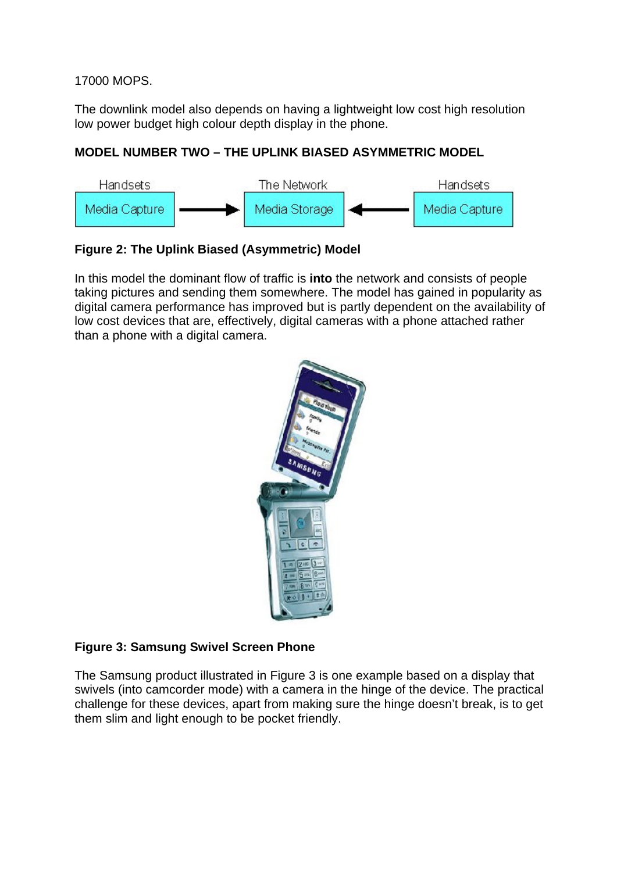17000 MOPS.

The downlink model also depends on having a lightweight low cost high resolution low power budget high colour depth display in the phone.

### **MODEL NUMBER TWO – THE UPLINK BIASED ASYMMETRIC MODEL**



# **Figure 2: The Uplink Biased (Asymmetric) Model**

In this model the dominant flow of traffic is **into** the network and consists of people taking pictures and sending them somewhere. The model has gained in popularity as digital camera performance has improved but is partly dependent on the availability of low cost devices that are, effectively, digital cameras with a phone attached rather than a phone with a digital camera.



# **Figure 3: Samsung Swivel Screen Phone**

The Samsung product illustrated in Figure 3 is one example based on a display that swivels (into camcorder mode) with a camera in the hinge of the device. The practical challenge for these devices, apart from making sure the hinge doesn't break, is to get them slim and light enough to be pocket friendly.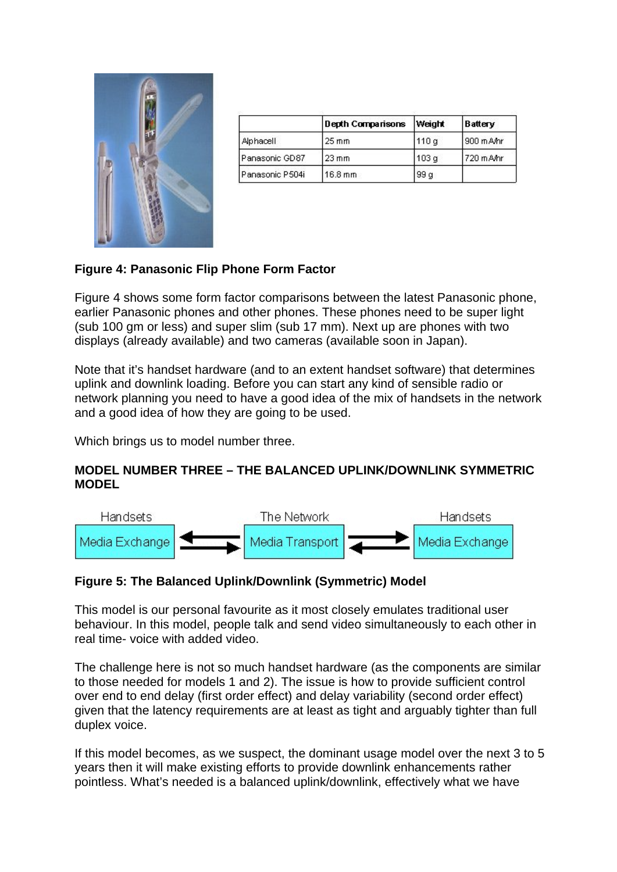

|                   | <b>Depth Comparisons</b> | <b>Weight</b> | Battery     |
|-------------------|--------------------------|---------------|-------------|
| Alphacell         | $25 \text{ mm}$          | 110 a         | 900 m A/hr  |
| Panasonic GD87    | $23 \text{ mm}$          | 103 a         | l 720 m Amr |
| l Panasonic P504i | 16.8 mm                  | 99 a          |             |

## **Figure 4: Panasonic Flip Phone Form Factor**

Figure 4 shows some form factor comparisons between the latest Panasonic phone, earlier Panasonic phones and other phones. These phones need to be super light (sub 100 gm or less) and super slim (sub 17 mm). Next up are phones with two displays (already available) and two cameras (available soon in Japan).

Note that it's handset hardware (and to an extent handset software) that determines uplink and downlink loading. Before you can start any kind of sensible radio or network planning you need to have a good idea of the mix of handsets in the network and a good idea of how they are going to be used.

Which brings us to model number three.

#### **MODEL NUMBER THREE – THE BALANCED UPLINK/DOWNLINK SYMMETRIC MODEL**



#### **Figure 5: The Balanced Uplink/Downlink (Symmetric) Model**

This model is our personal favourite as it most closely emulates traditional user behaviour. In this model, people talk and send video simultaneously to each other in real time- voice with added video.

The challenge here is not so much handset hardware (as the components are similar to those needed for models 1 and 2). The issue is how to provide sufficient control over end to end delay (first order effect) and delay variability (second order effect) given that the latency requirements are at least as tight and arguably tighter than full duplex voice.

If this model becomes, as we suspect, the dominant usage model over the next 3 to 5 years then it will make existing efforts to provide downlink enhancements rather pointless. What's needed is a balanced uplink/downlink, effectively what we have